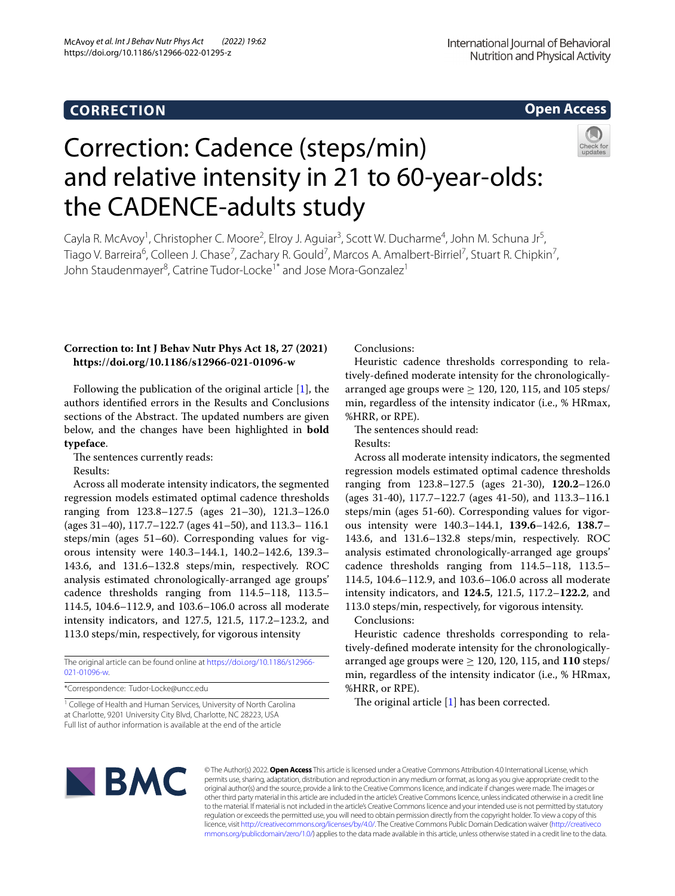## **CORRECTION**

**Open Access**

# Correction: Cadence (steps/min) and relative intensity in 21 to 60-year-olds: the CADENCE-adults study

Cayla R. McAvoy<sup>1</sup>, Christopher C. Moore<sup>2</sup>, Elroy J. Aguiar<sup>3</sup>, Scott W. Ducharme<sup>4</sup>, John M. Schuna Jr<sup>5</sup>, Tiago V. Barreira<sup>6</sup>, Colleen J. Chase<sup>7</sup>, Zachary R. Gould<sup>7</sup>, Marcos A. Amalbert-Birriel<sup>7</sup>, Stuart R. Chipkin<sup>7</sup>, John Staudenmayer<sup>8</sup>, Catrine Tudor-Locke<sup>1\*</sup> and Jose Mora-Gonzalez<sup>1</sup>

### **Correction to: Int J Behav Nutr Phys Act 18, 27 (2021) https://doi.org/10.1186/s12966-021-01096-w**

Following the publication of the original article [\[1](#page-1-0)], the authors identifed errors in the Results and Conclusions sections of the Abstract. The updated numbers are given below, and the changes have been highlighted in **bold typeface**.

The sentences currently reads:

Results:

Across all moderate intensity indicators, the segmented regression models estimated optimal cadence thresholds ranging from 123.8–127.5 (ages 21–30), 121.3–126.0 (ages 31–40), 117.7–122.7 (ages 41–50), and 113.3– 116.1 steps/min (ages 51–60). Corresponding values for vigorous intensity were 140.3–144.1, 140.2–142.6, 139.3– 143.6, and 131.6–132.8 steps/min, respectively. ROC analysis estimated chronologically-arranged age groups' cadence thresholds ranging from 114.5–118, 113.5– 114.5, 104.6–112.9, and 103.6–106.0 across all moderate intensity indicators, and 127.5, 121.5, 117.2–123.2, and 113.0 steps/min, respectively, for vigorous intensity

The original article can be found online at [https://doi.org/10.1186/s12966-](https://doi.org/10.1186/s12966-021-01096-w) [021-01096-w.](https://doi.org/10.1186/s12966-021-01096-w)

\*Correspondence: Tudor-Locke@uncc.edu

<sup>1</sup> College of Health and Human Services, University of North Carolina at Charlotte, 9201 University City Blvd, Charlotte, NC 28223, USA Full list of author information is available at the end of the article

Conclusions:

Heuristic cadence thresholds corresponding to relatively-defned moderate intensity for the chronologicallyarranged age groups were  $> 120$ , 120, 115, and 105 steps/ min, regardless of the intensity indicator (i.e., % HRmax, %HRR, or RPE).

The sentences should read:

Results:

Across all moderate intensity indicators, the segmented regression models estimated optimal cadence thresholds ranging from 123.8–127.5 (ages 21-30), **120.2**–126.0 (ages 31-40), 117.7–122.7 (ages 41-50), and 113.3–116.1 steps/min (ages 51-60). Corresponding values for vigorous intensity were 140.3–144.1, **139.6**–142.6, **138.7**– 143.6, and 131.6–132.8 steps/min, respectively. ROC analysis estimated chronologically-arranged age groups' cadence thresholds ranging from 114.5–118, 113.5– 114.5, 104.6–112.9, and 103.6–106.0 across all moderate intensity indicators, and **124.5**, 121.5, 117.2–**122.2**, and 113.0 steps/min, respectively, for vigorous intensity.

Conclusions:

Heuristic cadence thresholds corresponding to relatively-defned moderate intensity for the chronologicallyarranged age groups were  $\geq$  120, 120, 115, and 110 steps/ min, regardless of the intensity indicator (i.e., % HRmax, %HRR, or RPE).

The original article  $[1]$  $[1]$  has been corrected.



© The Author(s) 2022. **Open Access** This article is licensed under a Creative Commons Attribution 4.0 International License, which permits use, sharing, adaptation, distribution and reproduction in any medium or format, as long as you give appropriate credit to the original author(s) and the source, provide a link to the Creative Commons licence, and indicate if changes were made. The images or other third party material in this article are included in the article's Creative Commons licence, unless indicated otherwise in a credit line to the material. If material is not included in the article's Creative Commons licence and your intended use is not permitted by statutory regulation or exceeds the permitted use, you will need to obtain permission directly from the copyright holder. To view a copy of this licence, visit [http://creativecommons.org/licenses/by/4.0/.](http://creativecommons.org/licenses/by/4.0/) The Creative Commons Public Domain Dedication waiver ([http://creativeco](http://creativecommons.org/publicdomain/zero/1.0/) [mmons.org/publicdomain/zero/1.0/](http://creativecommons.org/publicdomain/zero/1.0/)) applies to the data made available in this article, unless otherwise stated in a credit line to the data.